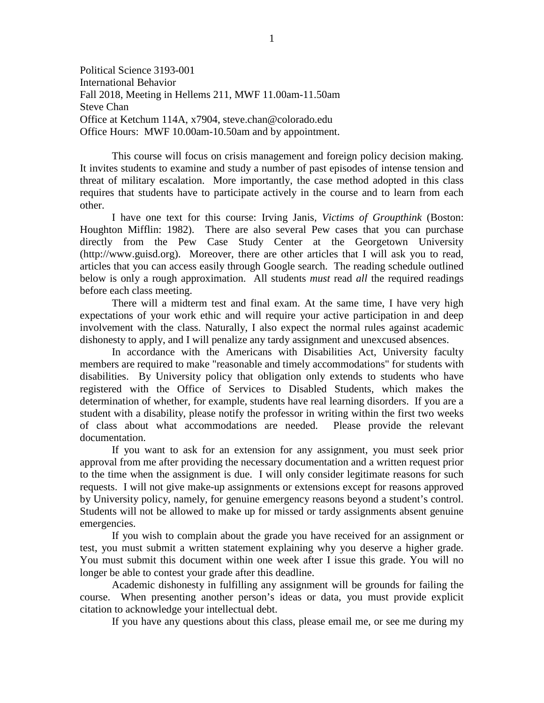Political Science 3193-001 International Behavior Fall 2018, Meeting in Hellems 211, MWF 11.00am-11.50am Steve Chan Office at Ketchum 114A, x7904, steve.chan@colorado.edu Office Hours: MWF 10.00am-10.50am and by appointment.

This course will focus on crisis management and foreign policy decision making. It invites students to examine and study a number of past episodes of intense tension and threat of military escalation. More importantly, the case method adopted in this class requires that students have to participate actively in the course and to learn from each other.

I have one text for this course: Irving Janis*, Victims of Groupthink* (Boston: Houghton Mifflin: 1982). There are also several Pew cases that you can purchase directly from the Pew Case Study Center at the Georgetown University (http://www.guisd.org). Moreover, there are other articles that I will ask you to read, articles that you can access easily through Google search. The reading schedule outlined below is only a rough approximation. All students *must* read *all* the required readings before each class meeting.

There will a midterm test and final exam. At the same time, I have very high expectations of your work ethic and will require your active participation in and deep involvement with the class. Naturally, I also expect the normal rules against academic dishonesty to apply, and I will penalize any tardy assignment and unexcused absences.

In accordance with the Americans with Disabilities Act, University faculty members are required to make "reasonable and timely accommodations" for students with disabilities. By University policy that obligation only extends to students who have registered with the Office of Services to Disabled Students, which makes the determination of whether, for example, students have real learning disorders. If you are a student with a disability, please notify the professor in writing within the first two weeks of class about what accommodations are needed. Please provide the relevant documentation.

If you want to ask for an extension for any assignment, you must seek prior approval from me after providing the necessary documentation and a written request prior to the time when the assignment is due. I will only consider legitimate reasons for such requests. I will not give make-up assignments or extensions except for reasons approved by University policy, namely, for genuine emergency reasons beyond a student's control. Students will not be allowed to make up for missed or tardy assignments absent genuine emergencies.

If you wish to complain about the grade you have received for an assignment or test, you must submit a written statement explaining why you deserve a higher grade. You must submit this document within one week after I issue this grade. You will no longer be able to contest your grade after this deadline.

Academic dishonesty in fulfilling any assignment will be grounds for failing the course. When presenting another person's ideas or data, you must provide explicit citation to acknowledge your intellectual debt.

If you have any questions about this class, please email me, or see me during my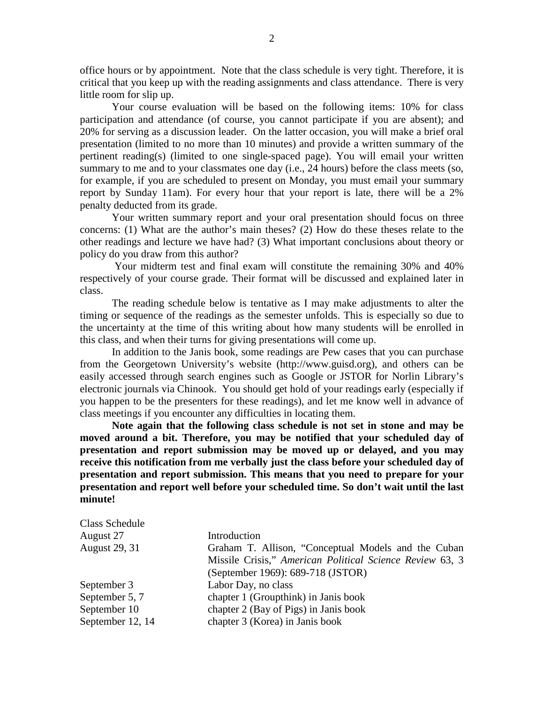office hours or by appointment. Note that the class schedule is very tight. Therefore, it is critical that you keep up with the reading assignments and class attendance. There is very little room for slip up.

Your course evaluation will be based on the following items: 10% for class participation and attendance (of course, you cannot participate if you are absent); and 20% for serving as a discussion leader. On the latter occasion, you will make a brief oral presentation (limited to no more than 10 minutes) and provide a written summary of the pertinent reading(s) (limited to one single-spaced page). You will email your written summary to me and to your classmates one day (i.e., 24 hours) before the class meets (so, for example, if you are scheduled to present on Monday, you must email your summary report by Sunday 11am). For every hour that your report is late, there will be a 2% penalty deducted from its grade.

Your written summary report and your oral presentation should focus on three concerns: (1) What are the author's main theses? (2) How do these theses relate to the other readings and lecture we have had? (3) What important conclusions about theory or policy do you draw from this author?

Your midterm test and final exam will constitute the remaining 30% and 40% respectively of your course grade. Their format will be discussed and explained later in class.

The reading schedule below is tentative as I may make adjustments to alter the timing or sequence of the readings as the semester unfolds. This is especially so due to the uncertainty at the time of this writing about how many students will be enrolled in this class, and when their turns for giving presentations will come up.

In addition to the Janis book, some readings are Pew cases that you can purchase from the Georgetown University's website (http://www.guisd.org), and others can be easily accessed through search engines such as Google or JSTOR for Norlin Library's electronic journals via Chinook. You should get hold of your readings early (especially if you happen to be the presenters for these readings), and let me know well in advance of class meetings if you encounter any difficulties in locating them.

**Note again that the following class schedule is not set in stone and may be moved around a bit. Therefore, you may be notified that your scheduled day of presentation and report submission may be moved up or delayed, and you may receive this notification from me verbally just the class before your scheduled day of presentation and report submission. This means that you need to prepare for your presentation and report well before your scheduled time. So don't wait until the last minute!**

| <b>Class Schedule</b> |                                                          |
|-----------------------|----------------------------------------------------------|
| August 27             | Introduction                                             |
| <b>August 29, 31</b>  | Graham T. Allison, "Conceptual Models and the Cuban      |
|                       | Missile Crisis," American Political Science Review 63, 3 |
|                       | (September 1969): 689-718 (JSTOR)                        |
| September 3           | Labor Day, no class                                      |
| September 5, 7        | chapter 1 (Groupthink) in Janis book                     |
| September 10          | chapter 2 (Bay of Pigs) in Janis book                    |
| September 12, 14      | chapter 3 (Korea) in Janis book                          |
|                       |                                                          |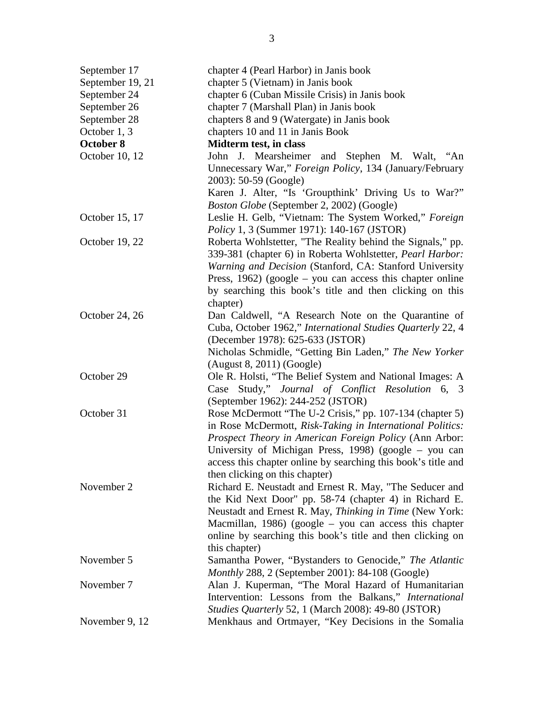| September 17     | chapter 4 (Pearl Harbor) in Janis book                        |
|------------------|---------------------------------------------------------------|
| September 19, 21 | chapter 5 (Vietnam) in Janis book                             |
| September 24     | chapter 6 (Cuban Missile Crisis) in Janis book                |
| September 26     | chapter 7 (Marshall Plan) in Janis book                       |
| September 28     | chapters 8 and 9 (Watergate) in Janis book                    |
| October 1, 3     | chapters 10 and 11 in Janis Book                              |
| October 8        | Midterm test, in class                                        |
| October 10, 12   | John J. Mearsheimer and Stephen M. Walt, "An                  |
|                  | Unnecessary War," Foreign Policy, 134 (January/February       |
|                  | 2003): 50-59 (Google)                                         |
|                  | Karen J. Alter, "Is 'Groupthink' Driving Us to War?"          |
|                  | Boston Globe (September 2, 2002) (Google)                     |
| October 15, 17   | Leslie H. Gelb, "Vietnam: The System Worked," Foreign         |
|                  | <i>Policy</i> 1, 3 (Summer 1971): 140-167 (JSTOR)             |
| October 19, 22   | Roberta Wohlstetter, "The Reality behind the Signals," pp.    |
|                  | 339-381 (chapter 6) in Roberta Wohlstetter, Pearl Harbor:     |
|                  | Warning and Decision (Stanford, CA: Stanford University       |
|                  | Press, $1962$ ) (google – you can access this chapter online  |
|                  | by searching this book's title and then clicking on this      |
|                  | chapter)                                                      |
| October 24, 26   | Dan Caldwell, "A Research Note on the Quarantine of           |
|                  | Cuba, October 1962," International Studies Quarterly 22, 4    |
|                  | (December 1978): 625-633 (JSTOR)                              |
|                  | Nicholas Schmidle, "Getting Bin Laden," The New Yorker        |
|                  | $(August 8, 2011)$ $(Google)$                                 |
| October 29       | Ole R. Holsti, "The Belief System and National Images: A      |
|                  | Case Study," Journal of Conflict Resolution 6, 3              |
|                  | (September 1962): 244-252 (JSTOR)                             |
| October 31       | Rose McDermott "The U-2 Crisis," pp. 107-134 (chapter 5)      |
|                  | in Rose McDermott, Risk-Taking in International Politics:     |
|                  | Prospect Theory in American Foreign Policy (Ann Arbor:        |
|                  | University of Michigan Press, 1998) (google – you can         |
|                  | access this chapter online by searching this book's title and |
|                  | then clicking on this chapter)                                |
| November 2       |                                                               |
|                  | Richard E. Neustadt and Ernest R. May, "The Seducer and       |
|                  | the Kid Next Door" pp. 58-74 (chapter 4) in Richard E.        |
|                  | Neustadt and Ernest R. May, Thinking in Time (New York:       |
|                  | Macmillan, 1986) (google $-$ you can access this chapter      |
|                  | online by searching this book's title and then clicking on    |
|                  | this chapter)                                                 |
| November 5       | Samantha Power, "Bystanders to Genocide," The Atlantic        |
|                  | Monthly 288, 2 (September 2001): 84-108 (Google)              |
| November 7       | Alan J. Kuperman, "The Moral Hazard of Humanitarian           |
|                  | Intervention: Lessons from the Balkans," International        |
|                  | Studies Quarterly 52, 1 (March 2008): 49-80 (JSTOR)           |
| November 9, 12   | Menkhaus and Ortmayer, "Key Decisions in the Somalia          |